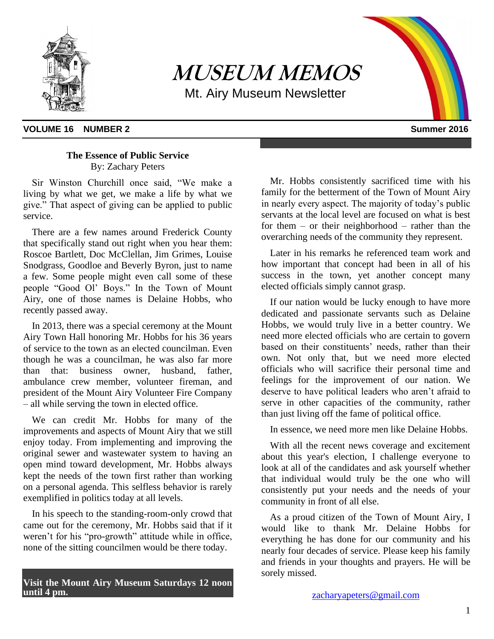

**MUSEUM MEMOS** Mt. Airy Museum Newsletter

## **VOLUME 16 NUMBER 2** Summer 2016

## **The Essence of Public Service** By: Zachary Peters

Sir Winston Churchill once said, "We make a living by what we get, we make a life by what we give." That aspect of giving can be applied to public service.

There are a few names around Frederick County that specifically stand out right when you hear them: Roscoe Bartlett, Doc McClellan, Jim Grimes, Louise Snodgrass, Goodloe and Beverly Byron, just to name a few. Some people might even call some of these people "Good Ol' Boys." In the Town of Mount Airy, one of those names is Delaine Hobbs, who recently passed away.

In 2013, there was a special ceremony at the Mount Airy Town Hall honoring Mr. Hobbs for his 36 years of service to the town as an elected councilman. Even though he was a councilman, he was also far more than that: business owner, husband, father, ambulance crew member, volunteer fireman, and president of the Mount Airy Volunteer Fire Company – all while serving the town in elected office.

We can credit Mr. Hobbs for many of the improvements and aspects of Mount Airy that we still enjoy today. From implementing and improving the original sewer and wastewater system to having an open mind toward development, Mr. Hobbs always kept the needs of the town first rather than working on a personal agenda. This selfless behavior is rarely exemplified in politics today at all levels.

In his speech to the standing-room-only crowd that came out for the ceremony, Mr. Hobbs said that if it weren't for his "pro-growth" attitude while in office, none of the sitting councilmen would be there today.

**Visit the Mount Airy Museum Saturdays 12 noon until 4 pm.**

Mr. Hobbs consistently sacrificed time with his family for the betterment of the Town of Mount Airy in nearly every aspect. The majority of today's public servants at the local level are focused on what is best for them – or their neighborhood – rather than the overarching needs of the community they represent.

Later in his remarks he referenced team work and how important that concept had been in all of his success in the town, yet another concept many elected officials simply cannot grasp.

If our nation would be lucky enough to have more dedicated and passionate servants such as Delaine Hobbs, we would truly live in a better country. We need more elected officials who are certain to govern based on their constituents' needs, rather than their own. Not only that, but we need more elected officials who will sacrifice their personal time and feelings for the improvement of our nation. We deserve to have political leaders who aren't afraid to serve in other capacities of the community, rather than just living off the fame of political office.

In essence, we need more men like Delaine Hobbs.

With all the recent news coverage and excitement about this year's election, I challenge everyone to look at all of the candidates and ask yourself whether that individual would truly be the one who will consistently put your needs and the needs of your community in front of all else.

As a proud citizen of the Town of Mount Airy, I would like to thank Mr. Delaine Hobbs for everything he has done for our community and his nearly four decades of service. Please keep his family and friends in your thoughts and prayers. He will be sorely missed.

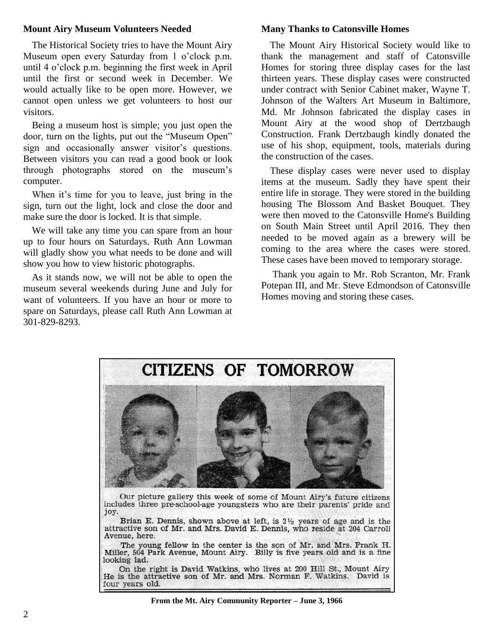#### **Mount Airy Museum Volunteers Needed**

The Historical Society tries to have the Mount Airy Museum open every Saturday from 1 o'clock p.m. until 4 o'clock p.m. beginning the first week in April until the first or second week in December. We would actually like to be open more. However, we cannot open unless we get volunteers to host our visitors.

Being a museum host is simple; you just open the door, turn on the lights, put out the "Museum Open" sign and occasionally answer visitor's questions. Between visitors you can read a good book or look through photographs stored on the museum's computer.

When it's time for you to leave, just bring in the sign, turn out the light, lock and close the door and make sure the door is locked. It is that simple.

We will take any time you can spare from an hour up to four hours on Saturdays. Ruth Ann Lowman will gladly show you what needs to be done and will show you how to view historic photographs.

As it stands now, we will not be able to open the museum several weekends during June and July for want of volunteers. If you have an hour or more to spare on Saturdays, please call Ruth Ann Lowman at 301-829-8293.

#### **Many Thanks to Catonsville Homes**

The Mount Airy Historical Society would like to thank the management and staff of Catonsville Homes for storing three display cases for the last thirteen years. These display cases were constructed under contract with Senior Cabinet maker, Wayne T. Johnson of the Walters Art Museum in Baltimore, Md. Mr Johnson fabricated the display cases in Mount Airy at the wood shop of Dertzbaugh Construction. Frank Dertzbaugh kindly donated the use of his shop, equipment, tools, materials during the construction of the cases.

These display cases were never used to display items at the museum. Sadly they have spent their entire life in storage. They were stored in the building housing The Blossom And Basket Bouquet. They were then moved to the Catonsville Home's Building on South Main Street until April 2016. They then needed to be moved again as a brewery will be coming to the area where the cases were stored. These cases have been moved to temporary storage.

Thank you again to Mr. Rob Scranton, Mr. Frank Potepan III, and Mr. Steve Edmondson of Catonsville Homes moving and storing these cases.



Brian E. Dennis, shown above at left, is  $2\frac{1}{2}$  years of age and is the attractive son of Mr. and Mrs. David E. Dennis, who reside at 204 Carroll Avenue, here.

The young fellow in the center is the son of Mr. and Mrs. Frank H. Miller, 504 Park Avenue, Mount Airy. Billy is five years old and is a fine looking lad.

On the right is David Watkins, who lives at 200 Hill St., Mount Airy He is the attractive son of Mr. and Mrs. Norman F. Watkins. David is four years old.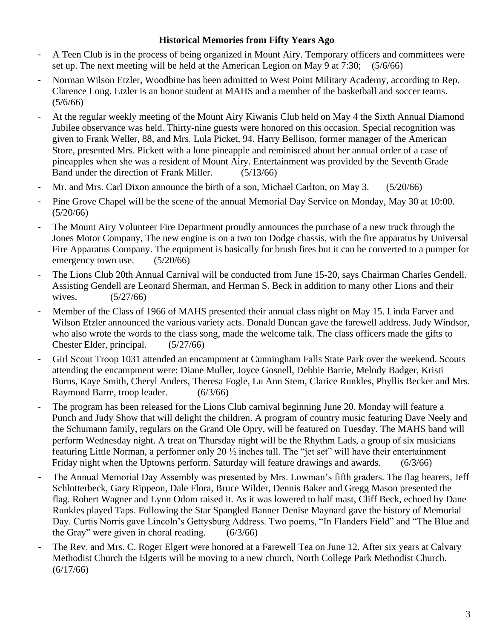## **Historical Memories from Fifty Years Ago**

- A Teen Club is in the process of being organized in Mount Airy. Temporary officers and committees were set up. The next meeting will be held at the American Legion on May 9 at 7:30; (5/6/66)
- Norman Wilson Etzler, Woodbine has been admitted to West Point Military Academy, according to Rep. Clarence Long. Etzler is an honor student at MAHS and a member of the basketball and soccer teams.  $(5/6/66)$
- At the regular weekly meeting of the Mount Airy Kiwanis Club held on May 4 the Sixth Annual Diamond Jubilee observance was held. Thirty-nine guests were honored on this occasion. Special recognition was given to Frank Weller, 88, and Mrs. Lula Picket, 94. Harry Bellison, former manager of the American Store, presented Mrs. Pickett with a lone pineapple and reminisced about her annual order of a case of pineapples when she was a resident of Mount Airy. Entertainment was provided by the Seventh Grade Band under the direction of Frank Miller. (5/13/66)
- Mr. and Mrs. Carl Dixon announce the birth of a son, Michael Carlton, on May 3. (5/20/66)
- Pine Grove Chapel will be the scene of the annual Memorial Day Service on Monday, May 30 at 10:00. (5/20/66)
- The Mount Airy Volunteer Fire Department proudly announces the purchase of a new truck through the Jones Motor Company, The new engine is on a two ton Dodge chassis, with the fire apparatus by Universal Fire Apparatus Company. The equipment is basically for brush fires but it can be converted to a pumper for emergency town use. (5/20/66)
- The Lions Club 20th Annual Carnival will be conducted from June 15-20, says Chairman Charles Gendell. Assisting Gendell are Leonard Sherman, and Herman S. Beck in addition to many other Lions and their wives. (5/27/66)
- Member of the Class of 1966 of MAHS presented their annual class night on May 15. Linda Farver and Wilson Etzler announced the various variety acts. Donald Duncan gave the farewell address. Judy Windsor, who also wrote the words to the class song, made the welcome talk. The class officers made the gifts to Chester Elder, principal. (5/27/66)
- Girl Scout Troop 1031 attended an encampment at Cunningham Falls State Park over the weekend. Scouts attending the encampment were: Diane Muller, Joyce Gosnell, Debbie Barrie, Melody Badger, Kristi Burns, Kaye Smith, Cheryl Anders, Theresa Fogle, Lu Ann Stem, Clarice Runkles, Phyllis Becker and Mrs. Raymond Barre, troop leader. (6/3/66)
- The program has been released for the Lions Club carnival beginning June 20. Monday will feature a Punch and Judy Show that will delight the children. A program of country music featuring Dave Neely and the Schumann family, regulars on the Grand Ole Opry, will be featured on Tuesday. The MAHS band will perform Wednesday night. A treat on Thursday night will be the Rhythm Lads, a group of six musicians featuring Little Norman, a performer only 20 ½ inches tall. The "jet set" will have their entertainment Friday night when the Uptowns perform. Saturday will feature drawings and awards. (6/3/66)
- The Annual Memorial Day Assembly was presented by Mrs. Lowman's fifth graders. The flag bearers, Jeff Schlotterbeck, Gary Rippeon, Dale Flora, Bruce Wilder, Dennis Baker and Gregg Mason presented the flag. Robert Wagner and Lynn Odom raised it. As it was lowered to half mast, Cliff Beck, echoed by Dane Runkles played Taps. Following the Star Spangled Banner Denise Maynard gave the history of Memorial Day. Curtis Norris gave Lincoln's Gettysburg Address. Two poems, "In Flanders Field" and "The Blue and the Gray" were given in choral reading. (6/3/66)
- The Rev. and Mrs. C. Roger Elgert were honored at a Farewell Tea on June 12. After six years at Calvary Methodist Church the Elgerts will be moving to a new church, North College Park Methodist Church.  $(6/17/66)$